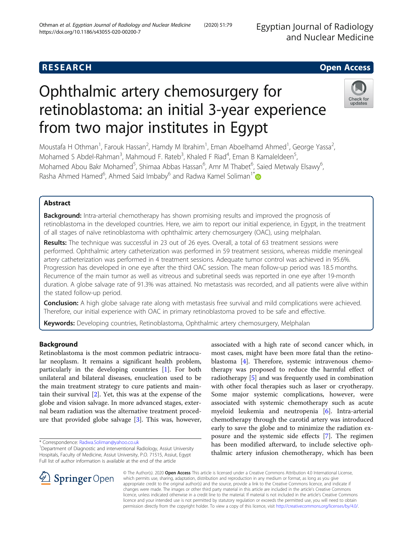Egyptian Journal of Radiology and Nuclear Medicine

# **RESEARCH CHE Open Access**

# Ophthalmic artery chemosurgery for retinoblastoma: an initial 3-year experience from two major institutes in Egypt



Moustafa H Othman<sup>1</sup>, Farouk Hassan<sup>2</sup>, Hamdy M Ibrahim<sup>1</sup>, Eman Aboelhamd Ahmed<sup>1</sup>, George Yassa<sup>2</sup> .<br>, Mohamed S Abdel-Rahman<sup>3</sup>, Mahmoud F. Rateb<sup>3</sup>, Khaled F Riad<sup>4</sup>, Eman B Kamaleldeen<sup>5</sup> , Mohamed Abou Bakr Mohamed<sup>5</sup>, Shimaa Abbas Hassan<sup>6</sup>, Amr M Thabet<sup>6</sup>, Saied Metwaly Elsawy<sup>6</sup> , Rasha Ahmed Hamed<sup>6</sup>, Ahmed Said Imbaby<sup>6</sup> and Radwa Kamel Soliman<sup>1\*</sup>

# Abstract

Background: Intra-arterial chemotherapy has shown promising results and improved the prognosis of retinoblastoma in the developed countries. Here, we aim to report our initial experience, in Egypt, in the treatment of all stages of naïve retinoblastoma with ophthalmic artery chemosurgery (OAC), using melphalan.

Results: The technique was successful in 23 out of 26 eyes. Overall, a total of 63 treatment sessions were performed. Ophthalmic artery catheterization was performed in 59 treatment sessions, whereas middle meningeal artery catheterization was performed in 4 treatment sessions. Adequate tumor control was achieved in 95.6%. Progression has developed in one eye after the third OAC session. The mean follow-up period was 18.5 months. Recurrence of the main tumor as well as vitreous and subretinal seeds was reported in one eye after 19-month duration. A globe salvage rate of 91.3% was attained. No metastasis was recorded, and all patients were alive within the stated follow-up period.

**Conclusion:** A high globe salvage rate along with metastasis free survival and mild complications were achieved. Therefore, our initial experience with OAC in primary retinoblastoma proved to be safe and effective.

Keywords: Developing countries, Retinoblastoma, Ophthalmic artery chemosurgery, Melphalan

# Background

Retinoblastoma is the most common pediatric intraocular neoplasm. It remains a significant health problem, particularly in the developing countries [[1\]](#page-6-0). For both unilateral and bilateral diseases, enucleation used to be the main treatment strategy to cure patients and maintain their survival [\[2](#page-6-0)]. Yet, this was at the expense of the globe and vision salvage. In more advanced stages, external beam radiation was the alternative treatment procedure that provided globe salvage [\[3](#page-6-0)]. This was, however,

\* Correspondence: [Radwa.Soliman@yahoo.co.uk](mailto:Radwa.Soliman@yahoo.co.uk) <sup>1</sup>

associated with a high rate of second cancer which, in most cases, might have been more fatal than the retinoblastoma [\[4](#page-6-0)]. Therefore, systemic intravenous chemotherapy was proposed to reduce the harmful effect of radiotherapy [\[5](#page-6-0)] and was frequently used in combination with other focal therapies such as laser or cryotherapy. Some major systemic complications, however, were associated with systemic chemotherapy such as acute myeloid leukemia and neutropenia [\[6\]](#page-6-0). Intra-arterial chemotherapy through the carotid artery was introduced early to save the globe and to minimize the radiation exposure and the systemic side effects [\[7\]](#page-6-0). The regimen has been modified afterward, to include selective ophthalmic artery infusion chemotherapy, which has been



© The Author(s). 2020 Open Access This article is licensed under a Creative Commons Attribution 4.0 International License, which permits use, sharing, adaptation, distribution and reproduction in any medium or format, as long as you give appropriate credit to the original author(s) and the source, provide a link to the Creative Commons licence, and indicate if changes were made. The images or other third party material in this article are included in the article's Creative Commons licence, unless indicated otherwise in a credit line to the material. If material is not included in the article's Creative Commons licence and your intended use is not permitted by statutory regulation or exceeds the permitted use, you will need to obtain permission directly from the copyright holder. To view a copy of this licence, visit <http://creativecommons.org/licenses/by/4.0/>.

<sup>&</sup>lt;sup>1</sup> Department of Diagnostic and interventional Radiology, Assiut University Hospitals, Faculty of Medicine, Assiut University, P.O. 71515, Assiut, Egypt Full list of author information is available at the end of the article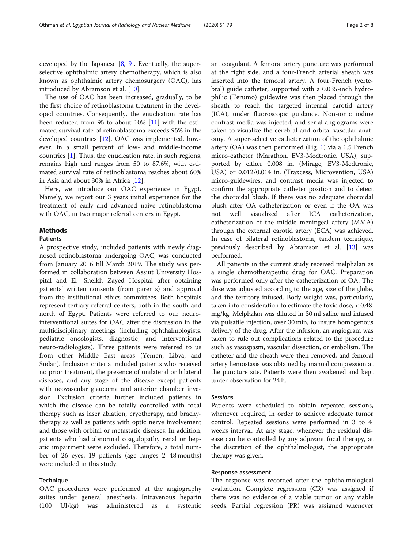developed by the Japanese  $[8, 9]$  $[8, 9]$  $[8, 9]$  $[8, 9]$ . Eventually, the superselective ophthalmic artery chemotherapy, which is also known as ophthalmic artery chemosurgery (OAC), has introduced by Abramson et al. [[10\]](#page-6-0).

The use of OAC has been increased, gradually, to be the first choice of retinoblastoma treatment in the developed countries. Consequently, the enucleation rate has been reduced from 95 to about 10% [\[11](#page-6-0)] with the estimated survival rate of retinoblastoma exceeds 95% in the developed countries [[12](#page-6-0)]. OAC was implemented, however, in a small percent of low- and middle-income countries [[1\]](#page-6-0). Thus, the enucleation rate, in such regions, remains high and ranges from 50 to 87.6%, with estimated survival rate of retinoblastoma reaches about 60% in Asia and about 30% in Africa [[12\]](#page-6-0).

Here, we introduce our OAC experience in Egypt. Namely, we report our 3 years initial experience for the treatment of early and advanced naive retinoblastoma with OAC, in two major referral centers in Egypt.

# Methods

# Patients

A prospective study, included patients with newly diagnosed retinoblastoma undergoing OAC, was conducted from January 2016 till March 2019. The study was performed in collaboration between Assiut University Hospital and El- Sheikh Zayed Hospital after obtaining patients' written consents (from parents) and approval from the institutional ethics committees. Both hospitals represent tertiary referral centers, both in the south and north of Egypt. Patients were referred to our neurointerventional suites for OAC after the discussion in the multidisciplinary meetings (including ophthalmologists, pediatric oncologists, diagnostic, and interventional neuro-radiologists). Three patients were referred to us from other Middle East areas (Yemen, Libya, and Sudan). Inclusion criteria included patients who received no prior treatment, the presence of unilateral or bilateral diseases, and any stage of the disease except patients with neovascular glaucoma and anterior chamber invasion. Exclusion criteria further included patients in which the disease can be totally controlled with focal therapy such as laser ablation, cryotherapy, and brachytherapy as well as patients with optic nerve involvement and those with orbital or metastatic diseases. In addition, patients who had abnormal coagulopathy renal or hepatic impairment were excluded. Therefore, a total number of 26 eyes, 19 patients (age ranges 2–48 months) were included in this study.

# Technique

OAC procedures were performed at the angiography suites under general anesthesia. Intravenous heparin (100 UI/kg) was administered as a systemic anticoagulant. A femoral artery puncture was performed at the right side, and a four-French arterial sheath was inserted into the femoral artery. A four-French (vertebral) guide catheter, supported with a 0.035-inch hydrophilic (Terumo) guidewire was then placed through the sheath to reach the targeted internal carotid artery (ICA), under fluoroscopic guidance. Non-ionic iodine contrast media was injected, and serial angiograms were taken to visualize the cerebral and orbital vascular anatomy. A super-selective catheterization of the ophthalmic artery (OA) was then performed (Fig. [1\)](#page-2-0) via a 1.5 French micro-catheter (Marathon, EV3-Medtronic, USA), supported by either 0.008 in. (Mirage, EV3-Medtronic, USA) or 0.012/0.014 in. (Traxcess, Microvention, USA) micro-guidewires, and contrast media was injected to confirm the appropriate catheter position and to detect the choroidal blush. If there was no adequate choroidal blush after OA catheterization or even if the OA was not well visualized after ICA catheterization, catheterization of the middle meningeal artery (MMA) through the external carotid artery (ECA) was achieved. In case of bilateral retinoblastoma, tandem technique, previously described by Abramson et al. [[13\]](#page-6-0) was performed.

All patients in the current study received melphalan as a single chemotherapeutic drug for OAC. Preparation was performed only after the catheterization of OA. The dose was adjusted according to the age, size of the globe, and the territory infused. Body weight was, particularly, taken into consideration to estimate the toxic dose, < 0.48 mg/kg. Melphalan was diluted in 30 ml saline and infused via pulsatile injection, over 30 min, to insure homogenous delivery of the drug. After the infusion, an angiogram was taken to rule out complications related to the procedure such as vasospasm, vascular dissection, or embolism. The catheter and the sheath were then removed, and femoral artery hemostasis was obtained by manual compression at the puncture site. Patients were then awakened and kept under observation for 24 h.

# Sessions

Patients were scheduled to obtain repeated sessions, whenever required, in order to achieve adequate tumor control. Repeated sessions were performed in 3 to 4 weeks interval. At any stage, whenever the residual disease can be controlled by any adjuvant focal therapy, at the discretion of the ophthalmologist, the appropriate therapy was given.

# Response assessment

The response was recorded after the ophthalmological evaluation. Complete regression (CR) was assigned if there was no evidence of a viable tumor or any viable seeds. Partial regression (PR) was assigned whenever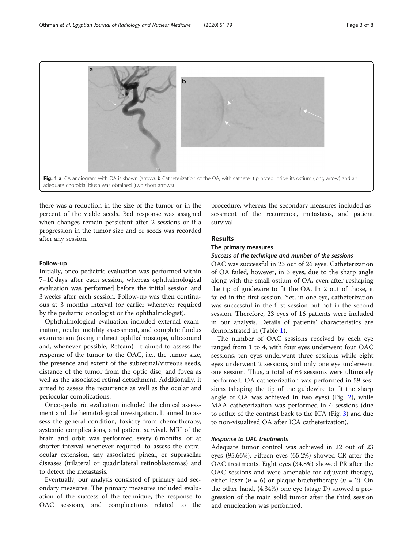<span id="page-2-0"></span>

there was a reduction in the size of the tumor or in the percent of the viable seeds. Bad response was assigned when changes remain persistent after 2 sessions or if a progression in the tumor size and or seeds was recorded after any session.

# Follow-up

Initially, onco-pediatric evaluation was performed within 7–10 days after each session, whereas ophthalmological evaluation was performed before the initial session and 3 weeks after each session. Follow-up was then continuous at 3 months interval (or earlier whenever required by the pediatric oncologist or the ophthalmologist).

Ophthalmological evaluation included external examination, ocular motility assessment, and complete fundus examination (using indirect ophthalmoscope, ultrasound and, whenever possible, Retcam). It aimed to assess the response of the tumor to the OAC, i.e., the tumor size, the presence and extent of the subretinal/vitreous seeds, distance of the tumor from the optic disc, and fovea as well as the associated retinal detachment. Additionally, it aimed to assess the recurrence as well as the ocular and periocular complications.

Onco-pediatric evaluation included the clinical assessment and the hematological investigation. It aimed to assess the general condition, toxicity from chemotherapy, systemic complications, and patient survival. MRI of the brain and orbit was performed every 6 months, or at shorter interval whenever required, to assess the extraocular extension, any associated pineal, or suprasellar diseases (trilateral or quadrilateral retinoblastomas) and to detect the metastasis.

Eventually, our analysis consisted of primary and secondary measures. The primary measures included evaluation of the success of the technique, the response to OAC sessions, and complications related to the procedure, whereas the secondary measures included assessment of the recurrence, metastasis, and patient survival.

# Results

#### The primary measures

# Success of the technique and number of the sessions

OAC was successful in 23 out of 26 eyes. Catheterization of OA failed, however, in 3 eyes, due to the sharp angle along with the small ostium of OA, even after reshaping the tip of guidewire to fit the OA. In 2 out of those, it failed in the first session. Yet, in one eye, catheterization was successful in the first session but not in the second session. Therefore, 23 eyes of 16 patients were included in our analysis. Details of patients' characteristics are demonstrated in (Table [1\)](#page-3-0).

The number of OAC sessions received by each eye ranged from 1 to 4, with four eyes underwent four OAC sessions, ten eyes underwent three sessions while eight eyes underwent 2 sessions, and only one eye underwent one session. Thus, a total of 63 sessions were ultimately performed. OA catheterization was performed in 59 sessions (shaping the tip of the guidewire to fit the sharp angle of OA was achieved in two eyes) (Fig. [2\)](#page-3-0), while MAA catheterization was performed in 4 sessions (due to reflux of the contrast back to the ICA (Fig. [3\)](#page-4-0) and due to non-visualized OA after ICA catheterization).

# Response to OAC treatments

Adequate tumor control was achieved in 22 out of 23 eyes (95.66%). Fifteen eyes (65.2%) showed CR after the OAC treatments. Eight eyes (34.8%) showed PR after the OAC sessions and were amenable for adjuvant therapy, either laser ( $n = 6$ ) or plaque brachytherapy ( $n = 2$ ). On the other hand, (4.34%) one eye (stage D) showed a progression of the main solid tumor after the third session and enucleation was performed.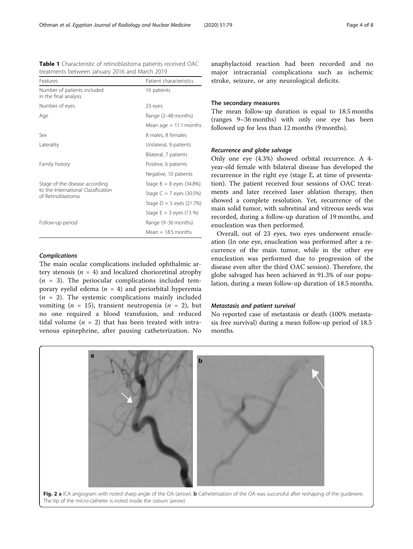Complications The main ocular complications included ophthalmic artery stenosis ( $n = 4$ ) and localized chorioretinal atrophy  $(n = 3)$ . The periocular complications included temporary eyelid edema ( $n = 4$ ) and periorbital hyperemia  $(n = 2)$ . The systemic complications mainly included vomiting (*n* = 15), transient neutropenia (*n* = 2), but no one required a blood transfusion, and reduced tidal volume  $(n = 2)$  that has been treated with intravenous epinephrine, after pausing catheterization. No

anaphylactoid reaction had been recorded and no major intracranial complications such as ischemic stroke, seizure, or any neurological deficits.

# The secondary measures

The mean follow-up duration is equal to 18.5 months (ranges 9–36 months) with only one eye has been followed up for less than 12 months (9 months).

# Recurrence and globe salvage

Only one eye (4.3%) showed orbital recurrence. A 4 year-old female with bilateral disease has developed the recurrence in the right eye (stage E, at time of presentation). The patient received four sessions of OAC treatments and later received laser ablation therapy, then showed a complete resolution. Yet, recurrence of the main solid tumor, with subretinal and vitreous seeds was recorded, during a follow-up duration of 19 months, and enucleation was then performed.

Overall, out of 23 eyes, two eyes underwent enucleation (In one eye, enucleation was performed after a recurrence of the main tumor, while in the other eye enucleation was performed due to progression of the disease even after the third OAC session). Therefore, the globe salvaged has been achieved in 91.3% of our population, during a mean follow-up duration of 18.5 months.

# Metastasis and patient survival

No reported case of metastasis or death (100% metastasis free survival) during a mean follow-up period of 18.5 months.



Table 1 Characteristic of retinoblastoma patients received OAC treatments between January 2016 and March 2019

Features **Patient characteristics** 

Age Range (2–48 months)

Sex 8 males, 8 females Laterality Unilateral, 9 patients

Family history **Positive, 6 patients** 

Follow-up period **Range (9-36 months)** 

Number of eyes 23 eyes

Number of patients included in the final analysis

Stage of the disease according to the International Classification

of Retinoblastoma

<span id="page-3-0"></span>

16 patients

Mean  $age = 11.1$  months

Bilateral, 7 patients

Negative, 10 patients

 $Mean = 18.5 months$ 

Stage  $B = 8$  eyes (34.8%) Stage  $C = 7$  eyes (30.5%) Stage  $D = 5$  eyes (21.7%) Stage  $E = 3$  eyes (13 %)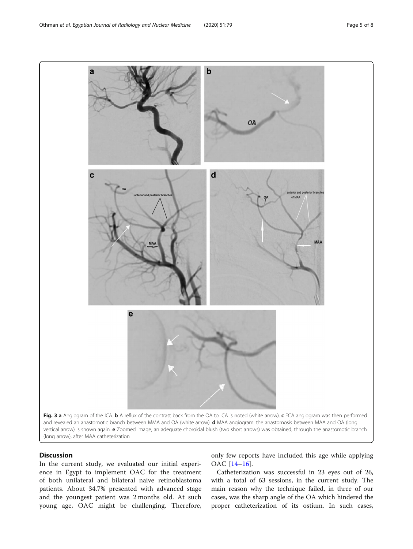<span id="page-4-0"></span>

# **Discussion**

In the current study, we evaluated our initial experience in Egypt to implement OAC for the treatment of both unilateral and bilateral naive retinoblastoma patients. About 34.7% presented with advanced stage and the youngest patient was 2 months old. At such young age, OAC might be challenging. Therefore,

only few reports have included this age while applying OAC [\[14](#page-6-0)–[16](#page-7-0)].

Catheterization was successful in 23 eyes out of 26, with a total of 63 sessions, in the current study. The main reason why the technique failed, in three of our cases, was the sharp angle of the OA which hindered the proper catheterization of its ostium. In such cases,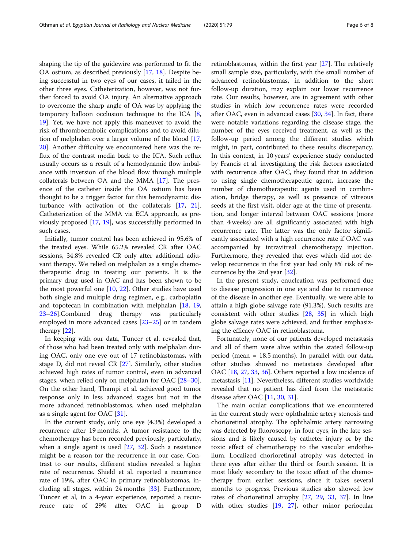shaping the tip of the guidewire was performed to fit the OA ostium, as described previously [[17,](#page-7-0) [18\]](#page-7-0). Despite being successful in two eyes of our cases, it failed in the other three eyes. Catheterization, however, was not further forced to avoid OA injury. An alternative approach to overcome the sharp angle of OA was by applying the temporary balloon occlusion technique to the ICA [\[8](#page-6-0), [19\]](#page-7-0). Yet, we have not apply this maneuver to avoid the risk of thromboembolic complications and to avoid dilution of melphalan over a larger volume of the blood [[17](#page-7-0), [20\]](#page-7-0). Another difficulty we encountered here was the reflux of the contrast media back to the ICA. Such reflux usually occurs as a result of a hemodynamic flow imbalance with inversion of the blood flow through multiple collaterals between OA and the MMA [\[17](#page-7-0)]. The presence of the catheter inside the OA ostium has been thought to be a trigger factor for this hemodynamic disturbance with activation of the collaterals [[17](#page-7-0), [21](#page-7-0)]. Catheterization of the MMA via ECA approach, as previously proposed [[17,](#page-7-0) [19](#page-7-0)], was successfully performed in such cases.

Initially, tumor control has been achieved in 95.6% of the treated eyes. While 65.2% revealed CR after OAC sessions, 34.8% revealed CR only after additional adjuvant therapy. We relied on melphalan as a single chemotherapeutic drug in treating our patients. It is the primary drug used in OAC and has been shown to be the most powerful one  $[10, 22]$  $[10, 22]$  $[10, 22]$  $[10, 22]$ . Other studies have used both single and multiple drug regimen, e.g., carboplatin and topotecan in combination with melphalan [\[18,](#page-7-0) [19](#page-7-0), [23](#page-7-0)–[26](#page-7-0)].Combined drug therapy was particularly employed in more advanced cases [\[23](#page-7-0)–[25\]](#page-7-0) or in tandem therapy [\[22](#page-7-0)].

In keeping with our data, Tuncer et al. revealed that, of those who had been treated only with melphalan during OAC, only one eye out of 17 retinoblastomas, with stage D, did not reveal CR [[27\]](#page-7-0). Similarly, other studies achieved high rates of tumor control, even in advanced stages, when relied only on melphalan for OAC [[28](#page-7-0)–[30](#page-7-0)]. On the other hand, Thampi et al. achieved good tumor response only in less advanced stages but not in the more advanced retinoblastomas, when used melphalan as a single agent for OAC [\[31](#page-7-0)].

In the current study, only one eye (4.3%) developed a recurrence after 19 months. A tumor resistance to the chemotherapy has been recorded previously, particularly, when a single agent is used [\[27,](#page-7-0) [32](#page-7-0)]. Such a resistance might be a reason for the recurrence in our case. Contrast to our results, different studies revealed a higher rate of recurrence. Shield et al. reported a recurrence rate of 19%, after OAC in primary retinoblastomas, including all stages, within 24 months [[33\]](#page-7-0). Furthermore, Tuncer et al, in a 4-year experience, reported a recurrence rate of 29% after OAC in group D

retinoblastomas, within the first year [[27\]](#page-7-0). The relatively small sample size, particularly, with the small number of advanced retinoblastomas, in addition to the short follow-up duration, may explain our lower recurrence rate. Our results, however, are in agreement with other studies in which low recurrence rates were recorded after OAC, even in advanced cases [[30,](#page-7-0) [34\]](#page-7-0). In fact, there were notable variations regarding the disease stage, the number of the eyes received treatment, as well as the follow-up period among the different studies which might, in part, contributed to these results discrepancy. In this context, in 10 years' experience study conducted by Francis et al. investigating the risk factors associated with recurrence after OAC, they found that in addition to using single chemotherapeutic agent, increase the number of chemotherapeutic agents used in combination, bridge therapy, as well as presence of vitreous seeds at the first visit, older age at the time of presentation, and longer interval between OAC sessions (more than 4 weeks) are all significantly associated with high recurrence rate. The latter was the only factor significantly associated with a high recurrence rate if OAC was accompanied by intravitreal chemotherapy injection. Furthermore, they revealed that eyes which did not develop recurrence in the first year had only 8% risk of recurrence by the 2nd year [\[32\]](#page-7-0).

In the present study, enucleation was performed due to disease progression in one eye and due to recurrence of the disease in another eye. Eventually, we were able to attain a high globe salvage rate (91.3%). Such results are consistent with other studies [\[28,](#page-7-0) [35\]](#page-7-0) in which high globe salvage rates were achieved, and further emphasizing the efficacy OAC in retinoblastoma.

Fortunately, none of our patients developed metastasis and all of them were alive within the stated follow-up period (mean = 18.5 months). In parallel with our data, other studies showed no metastasis developed after OAC [\[18,](#page-7-0) [27,](#page-7-0) [33,](#page-7-0) [36\]](#page-7-0). Others reported a low incidence of metastasis [\[11](#page-6-0)]. Nevertheless, different studies worldwide revealed that no patient has died from the metastatic disease after OAC [[11,](#page-6-0) [30,](#page-7-0) [31\]](#page-7-0).

The main ocular complications that we encountered in the current study were ophthalmic artery stenosis and chorioretinal atrophy. The ophthalmic artery narrowing was detected by fluoroscopy, in four eyes, in the late sessions and is likely caused by catheter injury or by the toxic effect of chemotherapy to the vascular endothelium. Localized chorioretinal atrophy was detected in three eyes after either the third or fourth session. It is most likely secondary to the toxic effect of the chemotherapy from earlier sessions, since it takes several months to progress. Previous studies also showed low rates of chorioretinal atrophy [[27,](#page-7-0) [29,](#page-7-0) [33,](#page-7-0) [37\]](#page-7-0). In line with other studies [\[19](#page-7-0), [27\]](#page-7-0), other minor periocular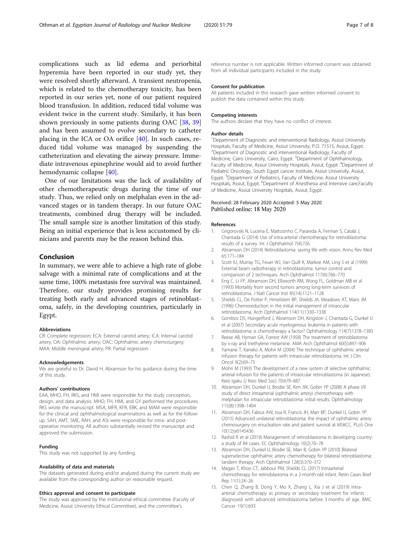<span id="page-6-0"></span>complications such as lid edema and periorbital hyperemia have been reported in our study yet, they were resolved shortly afterward. A transient neutropenia, which is related to the chemotherapy toxicity, has been reported in our series yet, none of our patient required blood transfusion. In addition, reduced tidal volume was evident twice in the current study. Similarly, it has been shown previously in some patients during OAC [\[38,](#page-7-0) [39](#page-7-0)] and has been assumed to evolve secondary to catheter placing in the ICA or OA orifice [[40\]](#page-7-0). In such cases, reduced tidal volume was managed by suspending the catheterization and elevating the airway pressure. Immediate intravenous epinephrine would aid to avoid further hemodynamic collapse [[40\]](#page-7-0).

One of our limitations was the lack of availability of other chemotherapeutic drugs during the time of our study. Thus, we relied only on melphalan even in the advanced stages or in tandem therapy. In our future OAC treatments, combined drug therapy will be included. The small sample size is another limitation of this study. Being an initial experience that is less accustomed by clinicians and parents may be the reason behind this.

# Conclusion

In summary, we were able to achieve a high rate of globe salvage with a minimal rate of complications and at the same time, 100% metastasis free survival was maintained. Therefore, our study provides promising results for treating both early and advanced stages of retinoblastoma, safely, in the developing countries, particularly in Egypt.

# Abbreviations

CR: Complete regression; ECA: External carotid artery; ICA: Internal carotid artery; OA: Ophthalmic artery; OAC: Ophthalmic artery chemosurgery; MAA: Middle meningeal artery; PR: Partial regression

#### Acknowledgements

We are grateful to Dr. David H. Abramson for his guidance during the time of this study.

#### Authors' contributions

EAA, MHO, FH, RKS, and HMI were responsible for the study conception, design, and data analysis. MHO, FH, HMI, and GY performed the procedures. RKS wrote the manuscript. MSA, MFR, KFR, EBK, and MAM were responsible for the clinical and ophthalmological examinations as well as for the followup. SAH, AMT, SME, RAH, and ASI were responsible for intra- and postoperative monitoring. All authors substantially revised the manuscript and approved the submission.

## Funding

This study was not supported by any funding.

#### Availability of data and materials

The datasets generated during and/or analyzed during the current study are available from the corresponding author on reasonable request.

#### Ethics approval and consent to participate

The study was approved by the institutional ethical committee (Faculty of Medicine, Assiut University Ethical Committee), and the committee's

reference number is not applicable. Written informed consent was obtained from all individual participants included in the study.

#### Consent for publication

All patients included in this research gave written informed consent to publish the data contained within this study.

#### Competing interests

The authors declare that they have no conflict of interest.

# Author details

<sup>1</sup>Department of Diagnostic and interventional Radiology, Assiut University Hospitals, Faculty of Medicine, Assiut University, P.O. 71515, Assiut, Egypt. 2 Department of Diagnostic and interventional Radiology, Faculty of Medicine, Cairo University, Cairo, Egypt. <sup>3</sup>Department of Ophthalmology, Faculty of Medicine, Assiut University Hospitals, Assiut, Egypt. <sup>4</sup>Department of Pediatric Oncology, South Egypt cancer Institute, Assiut University, Assiut, Egypt. <sup>5</sup>Department of Pediatrics, Faculty of Medicine, Assiut University Hospitals, Assiut, Egypt. <sup>6</sup>Department of Anesthesia and Intensive care, Faculty of Medicine, Assiut University Hospitals, Assiut, Egypt.

#### Received: 28 February 2020 Accepted: 5 May 2020 Published online: 18 May 2020

#### References

- 1. Grigorovski N, Lucena E, Mattosinho C, Parareda A, Ferman S, Catalá J, Chantada G (2014) Use of intra-arterial chemotherapy for retinoblastoma: results of a survey. Int J Ophthalmol 7(4):726
- 2. Abramson DH (2014) Retinoblastoma: saving life with vision. Annu Rev Med 65:171–184
- 3. Scott IU, Murray TG, Feuer WJ, Van Quill K, Markoe AM, Ling S et al (1999) External beam radiotherapy in retinoblastoma: tumor control and comparison of 2 techniques. Arch Ophthalmol 117(6):766–770
- 4. Eng C, Li FP, Abramson DH, Ellsworth RM, Wong FL, Goldman MB et al (1993) Mortality from second tumors among long-term survivors of retinoblastoma. J Natl Cancer Inst 85(14):1121–1128
- 5. Shields CL, De Potter P, Himelstein BP, Shields JA, Meadows AT, Maris JM (1996) Chemoreduction in the initial management of intraocular retinoblastoma. Arch Ophthalmol 114(11):1330–1338
- 6. Gombos DS, Hungerford J, Abramson DH, Kingston J, Chantada G, Dunkel IJ et al (2007) Secondary acute myelogenous leukemia in patients with retinoblastoma: is chemotherapy a factor? Ophthalmology 114(7):1378–1383
- 7. Reese AB, Hyman GA, Forrest AW (1958) The treatment of retinoblastoma by x-ray and triethylene melamine. AMA Arch Ophthalmol 60(5):897–906
- Yamane T, Kaneko A, Mohri M (2004) The technique of ophthalmic arterial infusion therapy for patients with intraocular retinoblastoma. Int J Clin Oncol 9(2):69–73
- 9. Mohri M (1993) The development of a new system of selective ophthalmic arterial infusion for the patients of intraocular retinoblastoma (in Japanese). Keio Igaku (J Keio Med Soc) 70:679–687
- 10. Abramson DH, Dunkel IJ, Brodie SE, Kim JW, Gobin YP (2008) A phase I/II study of direct intraarterial (ophthalmic artery) chemotherapy with melphalan for intraocular retinoblastoma: initial results. Ophthalmology 115(8):1398–1404
- 11. Abramson DH, Fabius AW, Issa R, Francis JH, Marr BP, Dunkel IJ, Gobin YP (2015) Advanced unilateral retinoblastoma: the impact of ophthalmic artery chemosurgery on enucleation rate and patient survival at MSKCC. PLoS One 10(12):e0145436
- 12. Rashid R et al (2019) Management of retinoblastoma in developing country: a study of 84 cases. EC Ophthalmology 10(2):70–78
- 13. Abramson DH, Dunkel IJ, Brodie SE, Marr B, Gobin YP (2010) Bilateral superselective ophthalmic artery chemotherapy for bilateral retinoblastoma: tandem therapy. Arch Ophthalmol 128(3):370–372
- 14. Magan T, Khoo CT, Jabbour PM, Shields CL (2017) Intraarterial chemotherapy for retinoblastoma in a 2-month-old infant. Retin Cases Brief Rep 11(1):24–26
- 15. Chen Q, Zhang B, Dong Y, Mo X, Zhang L, Xia J et al (2019) Intraarterial chemotherapy as primary or secondary treatment for infants diagnosed with advanced retinoblastoma before 3 months of age. BMC Cancer 19(1):693